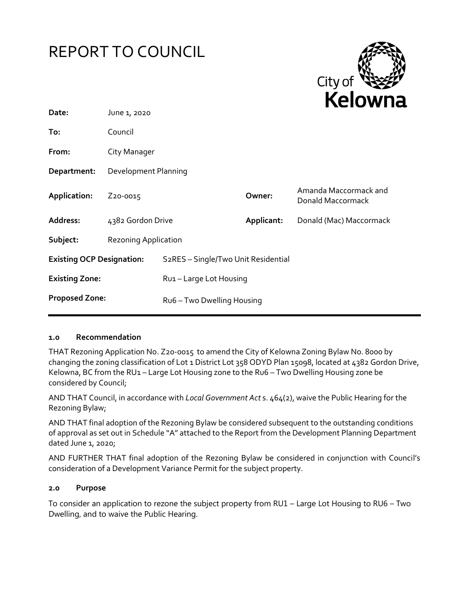



| Date:                            | June 1, 2020                |                                                  |            |                                            |
|----------------------------------|-----------------------------|--------------------------------------------------|------------|--------------------------------------------|
| To:                              | Council                     |                                                  |            |                                            |
| From:                            | City Manager                |                                                  |            |                                            |
| Department:                      | Development Planning        |                                                  |            |                                            |
| Application:                     | Z <sub>20</sub> -0015       |                                                  | Owner:     | Amanda Maccormack and<br>Donald Maccormack |
| Address:                         | 4382 Gordon Drive           |                                                  | Applicant: | Donald (Mac) Maccormack                    |
| Subject:                         | <b>Rezoning Application</b> |                                                  |            |                                            |
| <b>Existing OCP Designation:</b> |                             | S <sub>2</sub> RES - Single/Two Unit Residential |            |                                            |
| <b>Existing Zone:</b>            |                             | Ru1-Large Lot Housing                            |            |                                            |
| <b>Proposed Zone:</b>            |                             | Ru6 - Two Dwelling Housing                       |            |                                            |

#### **1.0 Recommendation**

THAT Rezoning Application No. Z20-0015 to amend the City of Kelowna Zoning Bylaw No. 8000 by changing the zoning classification of Lot 1 District Lot 358 ODYD Plan 15098, located at 4382 Gordon Drive, Kelowna, BC from the RU1 – Large Lot Housing zone to the Ru6 – Two Dwelling Housing zone be considered by Council;

AND THAT Council, in accordance with *Local Government Act* s. 464(2), waive the Public Hearing for the Rezoning Bylaw;

AND THAT final adoption of the Rezoning Bylaw be considered subsequent to the outstanding conditions of approval as set out in Schedule "A" attached to the Report from the Development Planning Department dated June 1, 2020;

AND FURTHER THAT final adoption of the Rezoning Bylaw be considered in conjunction with Council's consideration of a Development Variance Permit for the subject property.

#### **2.0 Purpose**

To consider an application to rezone the subject property from RU1 – Large Lot Housing to RU6 – Two Dwelling, and to waive the Public Hearing.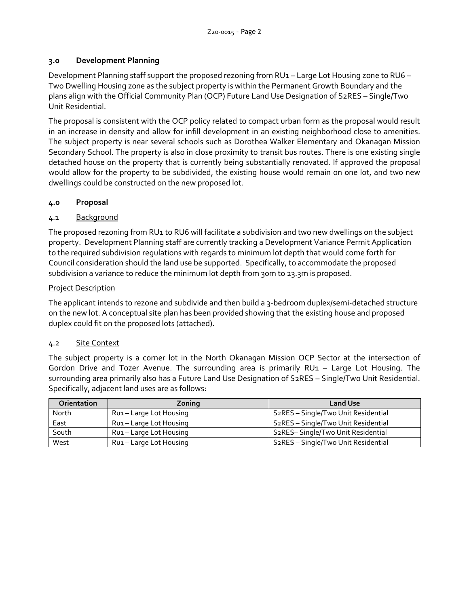## **3.0 Development Planning**

Development Planning staff support the proposed rezoning from RU1 – Large Lot Housing zone to RU6 – Two Dwelling Housing zone as the subject property is within the Permanent Growth Boundary and the plans align with the Official Community Plan (OCP) Future Land Use Designation of S2RES – Single/Two Unit Residential.

The proposal is consistent with the OCP policy related to compact urban form as the proposal would result in an increase in density and allow for infill development in an existing neighborhood close to amenities. The subject property is near several schools such as Dorothea Walker Elementary and Okanagan Mission Secondary School. The property is also in close proximity to transit bus routes. There is one existing single detached house on the property that is currently being substantially renovated. If approved the proposal would allow for the property to be subdivided, the existing house would remain on one lot, and two new dwellings could be constructed on the new proposed lot.

# **4.0 Proposal**

# 4.1 Background

The proposed rezoning from RU1 to RU6 will facilitate a subdivision and two new dwellings on the subject property. Development Planning staff are currently tracking a Development Variance Permit Application to the required subdivision regulations with regards to minimum lot depth that would come forth for Council consideration should the land use be supported. Specifically, to accommodate the proposed subdivision a variance to reduce the minimum lot depth from 30m to 23.3m is proposed.

# Project Description

The applicant intends to rezone and subdivide and then build a 3-bedroom duplex/semi-detached structure on the new lot. A conceptual site plan has been provided showing that the existing house and proposed duplex could fit on the proposed lots (attached).

## 4.2 Site Context

The subject property is a corner lot in the North Okanagan Mission OCP Sector at the intersection of Gordon Drive and Tozer Avenue. The surrounding area is primarily RU1 – Large Lot Housing. The surrounding area primarily also has a Future Land Use Designation of S2RES – Single/Two Unit Residential. Specifically, adjacent land uses are as follows:

| <b>Orientation</b> | Zoning                  | <b>Land Use</b>                                  |
|--------------------|-------------------------|--------------------------------------------------|
| North              | Rui - Large Lot Housing | S2RES - Single/Two Unit Residential              |
| East               | Rui – Large Lot Housing | S <sub>2</sub> RES - Single/Two Unit Residential |
| South              | Rui – Large Lot Housing | S <sub>2</sub> RES-Single/Two Unit Residential   |
| West               | Rui – Large Lot Housing | S <sub>2</sub> RES - Single/Two Unit Residential |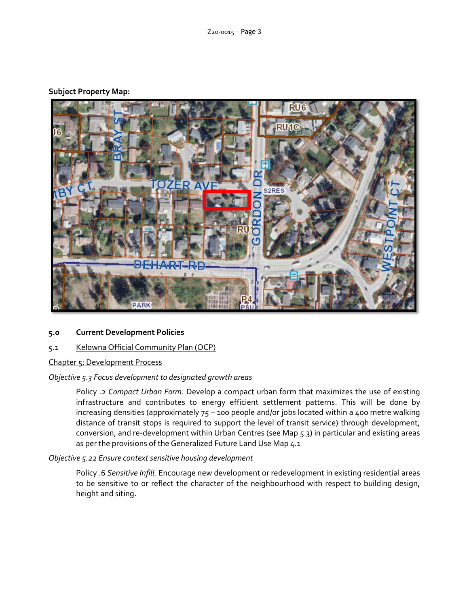## **Subject Property Map:**



## **5.0 Current Development Policies**

## 5.1 Kelowna Official Community Plan (OCP)

Chapter 5: Development Process

#### *Objective 5.3 Focus development to designated growth areas*

Policy .2 *Compact Urban Form.* Develop a compact urban form that maximizes the use of existing infrastructure and contributes to energy efficient settlement patterns. This will be done by increasing densities (approximately 75 – 100 people and/or jobs located within a 400 metre walking distance of transit stops is required to support the level of transit service) through development, conversion, and re-development within Urban Centres (see Map 5.3) in particular and existing areas as per the provisions of the Generalized Future Land Use Map 4.1

#### *Objective 5.22 Ensure context sensitive housing development*

Policy .6 *Sensitive Infill.* Encourage new development or redevelopment in existing residential areas to be sensitive to or reflect the character of the neighbourhood with respect to building design, height and siting.